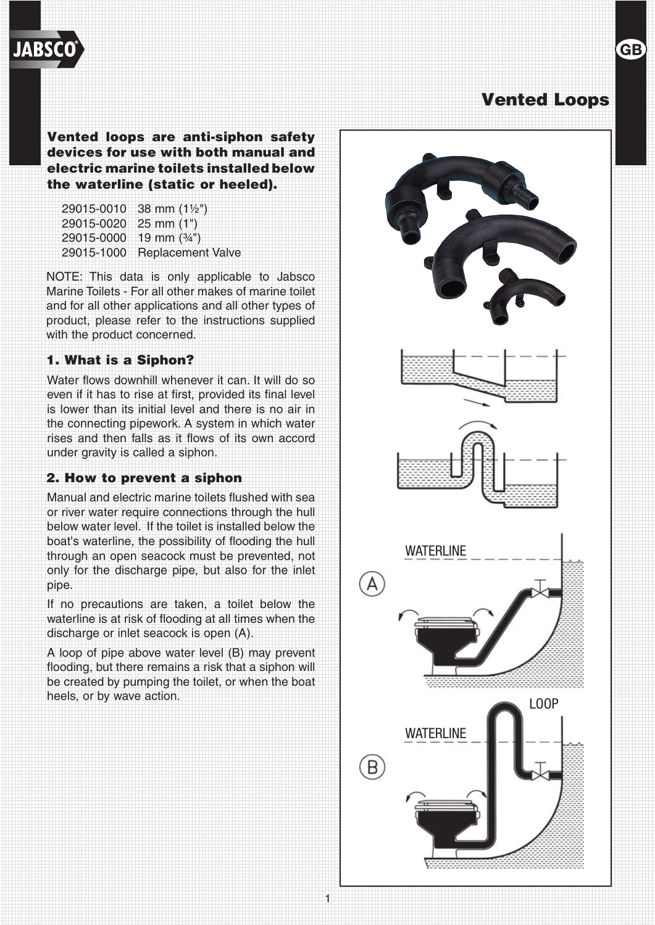# Vented Loops

**GB** 

Vented loops are anti-siphon safety devices for use with both manual and electric marine toilets installed below the waterline (static or heeled).

| 29015-0010            | 38 mm $(1\frac{1}{2})$   |
|-----------------------|--------------------------|
| 29015-0020 25 mm (1") |                          |
| 29015-0000            | 19 mm $(3/4")$           |
| 29015-1000            | <b>Replacement Valve</b> |

NOTE: This data is only applicable to Jabsco Marine Toilets - For all other makes of marine toilet and for all other applications and all other types of product, please refer to the instructions supplied with the product concerned.

## 1. What is a Siphon?

**JABSC** 

Water flows downhill whenever it can. It will do so even if it has to rise at first, provided its final level is lower than its initial level and there is no air in the connecting pipework. A system in which water rises and then falls as it flows of its own accord under gravity is called a siphon.

## 2. How to prevent a siphon

Manual and electric marine toilets flushed with sea or river water require connections through the hull below water level. If the toilet is installed below the boat's waterline, the possibility of flooding the hull through an open seacock must be prevented, not only for the discharge pipe, but also for the inlet pipe.

If no precautions are taken, a toilet below the waterline is at risk of flooding at all times when the discharge or inlet seacock is open (A).

A loop of pipe above water level (B) may prevent flooding, but there remains a risk that a siphon will be created by pumping the toilet, or when the boat heels, or by wave action.

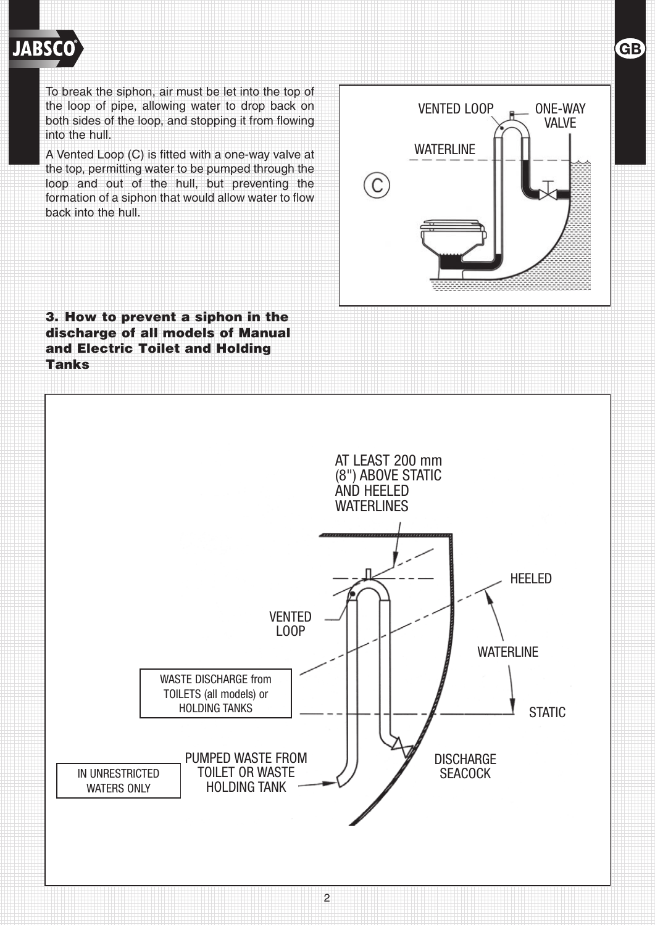

To break the siphon, air must be let into the top of the loop of pipe, allowing water to drop back on both sides of the loop, and stopping it from flowing into the hull.

A Vented Loop (C) is fitted with a one-way valve at the top, permitting water to be pumped through the loop and out of the hull, but preventing the formation of a siphon that would allow water to flow back into the hull.

3. How to prevent a siphon in the discharge of all models of Manual and Electric Toilet and Holding Tanks



2

VENTED LOOP  $\Box$  ONE-WAY VALVE WATERLINE C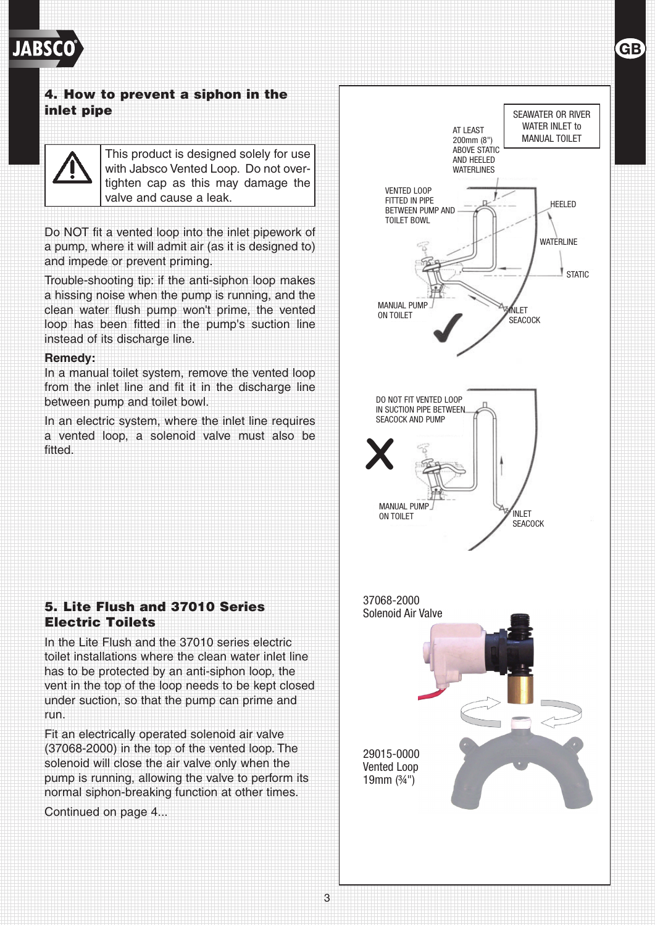

## 4. How to prevent a siphon in the inlet pipe



This product is designed solely for use with Jabsco Vented Loop. Do not overtighten cap as this may damage the valve and cause a leak.

Do NOT fit a vented loop into the inlet pipework of a pump, where it will admit air (as it is designed to) and impede or prevent priming.

Trouble-shooting tip: if the anti-siphon loop makes a hissing noise when the pump is running, and the clean water flush pump won't prime, the vented loop has been fitted in the pump's suction line instead of its discharge line.

### **Remedy:**

In a manual toilet system, remove the vented loop from the inlet line and fit it in the discharge line between pump and toilet bowl.

In an electric system, where the inlet line requires a vented loop, a solenoid valve must also be fitted.

## 5. Lite Flush and 37010 Series Electric Toilets

In the Lite Flush and the 37010 series electric toilet installations where the clean water inlet line has to be protected by an anti-siphon loop, the vent in the top of the loop needs to be kept closed under suction, so that the pump can prime and run.

Fit an electrically operated solenoid air valve (37068-2000) in the top of the vented loop. The solenoid will close the air valve only when the pump is running, allowing the valve to perform its normal siphon-breaking function at other times.

Continued on page 4...



3